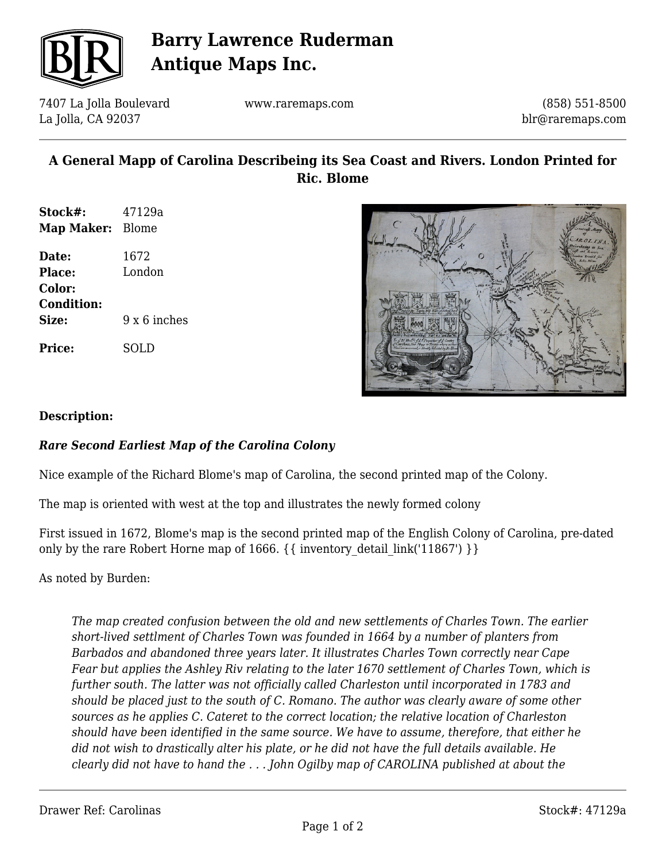

## **Barry Lawrence Ruderman Antique Maps Inc.**

7407 La Jolla Boulevard La Jolla, CA 92037

www.raremaps.com

(858) 551-8500 blr@raremaps.com

### **A General Mapp of Carolina Describeing its Sea Coast and Rivers. London Printed for Ric. Blome**

| Stock#:<br>Map Maker: Blome | 47129a       |
|-----------------------------|--------------|
| Date:                       | 1672         |
| Place:                      | London       |
| Color:                      |              |
| <b>Condition:</b>           |              |
| Size:                       | 9 x 6 inches |
| <b>Price:</b>               | SOLD         |



#### **Description:**

### *Rare Second Earliest Map of the Carolina Colony*

Nice example of the Richard Blome's map of Carolina, the second printed map of the Colony.

The map is oriented with west at the top and illustrates the newly formed colony

First issued in 1672, Blome's map is the second printed map of the English Colony of Carolina, pre-dated only by the rare Robert Horne map of 1666.  $\{\{\text{inventory detail link}('11867')\}\}\$ 

As noted by Burden:

*The map created confusion between the old and new settlements of Charles Town. The earlier short-lived settlment of Charles Town was founded in 1664 by a number of planters from Barbados and abandoned three years later. It illustrates Charles Town correctly near Cape Fear but applies the Ashley Riv relating to the later 1670 settlement of Charles Town, which is further south. The latter was not officially called Charleston until incorporated in 1783 and should be placed just to the south of C. Romano. The author was clearly aware of some other sources as he applies C. Cateret to the correct location; the relative location of Charleston should have been identified in the same source. We have to assume, therefore, that either he did not wish to drastically alter his plate, or he did not have the full details available. He clearly did not have to hand the . . . John Ogilby map of CAROLINA published at about the*